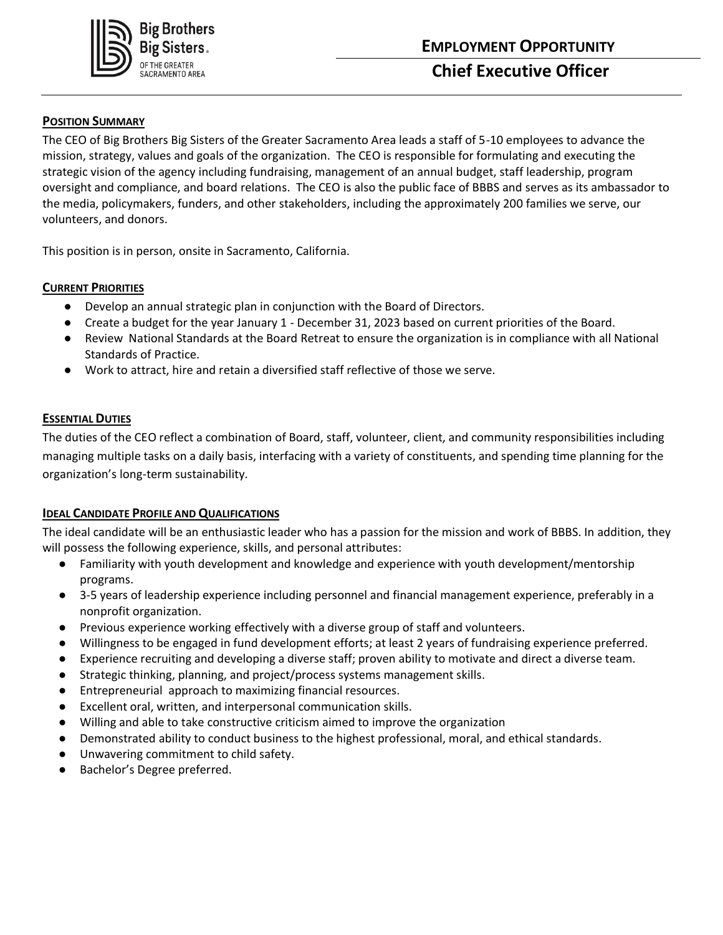

# **POSITION SUMMARY**

The CEO of Big Brothers Big Sisters of the Greater Sacramento Area leads a staff of 5-10 employees to advance the mission, strategy, values and goals of the organization. The CEO is responsible for formulating and executing the strategic vision of the agency including fundraising, management of an annual budget, staff leadership, program oversight and compliance, and board relations. The CEO is also the public face of BBBS and serves as its ambassador to the media, policymakers, funders, and other stakeholders, including the approximately 200 families we serve, our volunteers, and donors.

This position is in person, onsite in Sacramento, California.

# **CURRENT PRIORITIES**

- Develop an annual strategic plan in conjunction with the Board of Directors.
- Create a budget for the year January 1 December 31, 2023 based on current priorities of the Board.
- Review National Standards at the Board Retreat to ensure the organization is in compliance with all National Standards of Practice.
- Work to attract, hire and retain a diversified staff reflective of those we serve.

# **ESSENTIAL DUTIES**

The duties of the CEO reflect a combination of Board, staff, volunteer, client, and community responsibilities including managing multiple tasks on a daily basis, interfacing with a variety of constituents, and spending time planning for the organization's long-term sustainability.

## **IDEAL CANDIDATE PROFILE AND QUALIFICATIONS**

The ideal candidate will be an enthusiastic leader who has a passion for the mission and work of BBBS. In addition, they will possess the following experience, skills, and personal attributes:

- Familiarity with youth development and knowledge and experience with youth development/mentorship programs.
- 3-5 years of leadership experience including personnel and financial management experience, preferably in a nonprofit organization.
- Previous experience working effectively with a diverse group of staff and volunteers.
- Willingness to be engaged in fund development efforts; at least 2 years of fundraising experience preferred.
- Experience recruiting and developing a diverse staff; proven ability to motivate and direct a diverse team.
- Strategic thinking, planning, and project/process systems management skills.
- Entrepreneurial approach to maximizing financial resources.
- Excellent oral, written, and interpersonal communication skills.
- Willing and able to take constructive criticism aimed to improve the organization
- Demonstrated ability to conduct business to the highest professional, moral, and ethical standards.
- Unwavering commitment to child safety.
- Bachelor's Degree preferred.